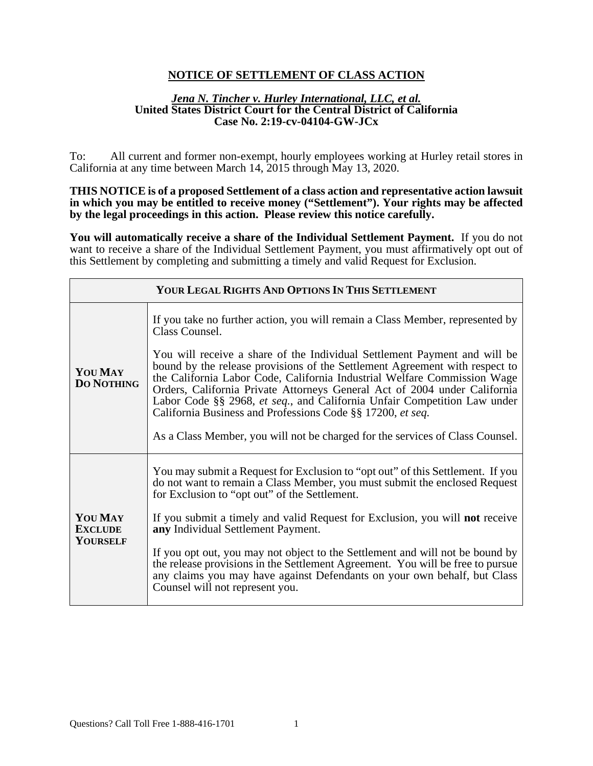# **NOTICE OF SETTLEMENT OF CLASS ACTION**

#### *Jena N. Tincher v. Hurley International, LLC, et al.* **United States District Court for the Central District of California Case No. 2:19-cv-04104-GW-JCx**

To: All current and former non-exempt, hourly employees working at Hurley retail stores in California at any time between March 14, 2015 through May 13, 2020.

**THIS NOTICE is of a proposed Settlement of a class action and representative action lawsuit in which you may be entitled to receive money ("Settlement"). Your rights may be affected by the legal proceedings in this action. Please review this notice carefully.**

**You will automatically receive a share of the Individual Settlement Payment.** If you do not want to receive a share of the Individual Settlement Payment, you must affirmatively opt out of this Settlement by completing and submitting a timely and valid Request for Exclusion.

| YOUR LEGAL RIGHTS AND OPTIONS IN THIS SETTLEMENT |                                                                                                                                                                                                                                                                                                                                                                                                                                                                                                                                                                                                                                                 |
|--------------------------------------------------|-------------------------------------------------------------------------------------------------------------------------------------------------------------------------------------------------------------------------------------------------------------------------------------------------------------------------------------------------------------------------------------------------------------------------------------------------------------------------------------------------------------------------------------------------------------------------------------------------------------------------------------------------|
| <b>YOU MAY</b><br><b>DO NOTHING</b>              | If you take no further action, you will remain a Class Member, represented by<br>Class Counsel.<br>You will receive a share of the Individual Settlement Payment and will be<br>bound by the release provisions of the Settlement Agreement with respect to<br>the California Labor Code, California Industrial Welfare Commission Wage<br>Orders, California Private Attorneys General Act of 2004 under California<br>Labor Code §§ 2968, et seq., and California Unfair Competition Law under<br>California Business and Professions Code §§ 17200, et seq.<br>As a Class Member, you will not be charged for the services of Class Counsel. |
| <b>YOU MAY</b><br><b>EXCLUDE</b><br>YOURSELF     | You may submit a Request for Exclusion to "opt out" of this Settlement. If you<br>do not want to remain a Class Member, you must submit the enclosed Request<br>for Exclusion to "opt out" of the Settlement.<br>If you submit a timely and valid Request for Exclusion, you will <b>not</b> receive<br>any Individual Settlement Payment.<br>If you opt out, you may not object to the Settlement and will not be bound by<br>the release provisions in the Settlement Agreement. You will be free to pursue<br>any claims you may have against Defendants on your own behalf, but Class<br>Counsel will not represent you.                    |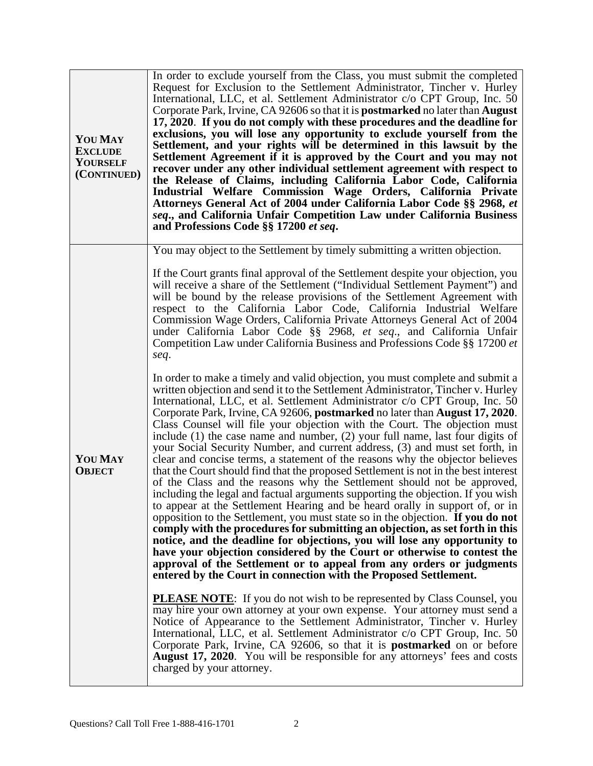| <b>YOU MAY</b><br><b>EXCLUDE</b><br><b>YOURSELF</b><br>(CONTINUED) | In order to exclude yourself from the Class, you must submit the completed<br>Request for Exclusion to the Settlement Administrator, Tincher v. Hurley<br>International, LLC, et al. Settlement Administrator c/o CPT Group, Inc. 50<br>Corporate Park, Irvine, CA 92606 so that it is <b>postmarked</b> no later than <b>August</b><br>17, 2020. If you do not comply with these procedures and the deadline for<br>exclusions, you will lose any opportunity to exclude yourself from the<br>Settlement, and your rights will be determined in this lawsuit by the<br>Settlement Agreement if it is approved by the Court and you may not<br>recover under any other individual settlement agreement with respect to<br>the Release of Claims, including California Labor Code, California<br>Industrial Welfare Commission Wage Orders, California Private<br>Attorneys General Act of 2004 under California Labor Code §§ 2968, et<br>seq., and California Unfair Competition Law under California Business<br>and Professions Code §§ 17200 et seq.                                                                                                                                                                                                                                                                                                                                                                                                                                                                                                                                                                                                                                                                                                                                                                |
|--------------------------------------------------------------------|-------------------------------------------------------------------------------------------------------------------------------------------------------------------------------------------------------------------------------------------------------------------------------------------------------------------------------------------------------------------------------------------------------------------------------------------------------------------------------------------------------------------------------------------------------------------------------------------------------------------------------------------------------------------------------------------------------------------------------------------------------------------------------------------------------------------------------------------------------------------------------------------------------------------------------------------------------------------------------------------------------------------------------------------------------------------------------------------------------------------------------------------------------------------------------------------------------------------------------------------------------------------------------------------------------------------------------------------------------------------------------------------------------------------------------------------------------------------------------------------------------------------------------------------------------------------------------------------------------------------------------------------------------------------------------------------------------------------------------------------------------------------------------------------------------------------------|
| <b>YOU MAY</b><br><b>OBJECT</b>                                    | You may object to the Settlement by timely submitting a written objection.<br>If the Court grants final approval of the Settlement despite your objection, you<br>will receive a share of the Settlement ("Individual Settlement Payment") and<br>will be bound by the release provisions of the Settlement Agreement with<br>respect to the California Labor Code, California Industrial Welfare<br>Commission Wage Orders, California Private Attorneys General Act of 2004<br>under California Labor Code §§ 2968, et seq., and California Unfair<br>Competition Law under California Business and Professions Code §§ 17200 et<br>seq.<br>In order to make a timely and valid objection, you must complete and submit a<br>written objection and send it to the Settlement Administrator, Tincher v. Hurley<br>International, LLC, et al. Settlement Administrator c/o CPT Group, Inc. 50<br>Corporate Park, Irvine, CA 92606, postmarked no later than August 17, 2020.<br>Class Counsel will file your objection with the Court. The objection must<br>include $(1)$ the case name and number, $(2)$ your full name, last four digits of<br>your Social Security Number, and current address, (3) and must set forth, in<br>clear and concise terms, a statement of the reasons why the objector believes<br>that the Court should find that the proposed Settlement is not in the best interest<br>of the Class and the reasons why the Settlement should not be approved,<br>including the legal and factual arguments supporting the objection. If you wish<br>to appear at the Settlement Hearing and be heard orally in support of, or in<br>opposition to the Settlement, you must state so in the objection. If you do not<br>comply with the procedures for submitting an objection, as set forth in this |
|                                                                    | notice, and the deadline for objections, you will lose any opportunity to<br>have your objection considered by the Court or otherwise to contest the<br>approval of the Settlement or to appeal from any orders or judgments<br>entered by the Court in connection with the Proposed Settlement.<br><b>PLEASE NOTE:</b> If you do not wish to be represented by Class Counsel, you<br>may hire your own attorney at your own expense. Your attorney must send a<br>Notice of Appearance to the Settlement Administrator, Tincher v. Hurley<br>International, LLC, et al. Settlement Administrator c/o CPT Group, Inc. 50<br>Corporate Park, Irvine, CA 92606, so that it is <b>postmarked</b> on or before<br><b>August 17, 2020.</b> You will be responsible for any attorneys' fees and costs<br>charged by your attorney.                                                                                                                                                                                                                                                                                                                                                                                                                                                                                                                                                                                                                                                                                                                                                                                                                                                                                                                                                                                            |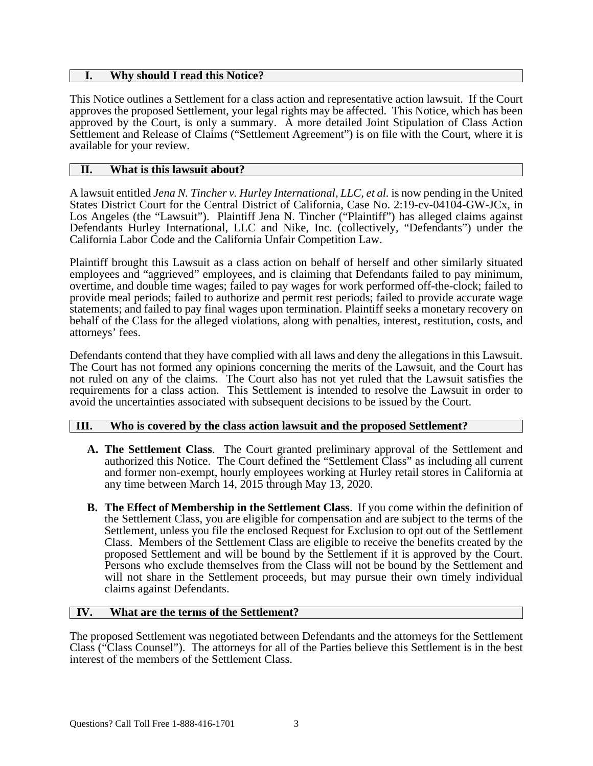### **I. Why should I read this Notice?**

This Notice outlines a Settlement for a class action and representative action lawsuit. If the Court approves the proposed Settlement, your legal rights may be affected. This Notice, which has been approved by the Court, is only a summary. A more detailed Joint Stipulation of Class Action Settlement and Release of Claims ("Settlement Agreement") is on file with the Court, where it is available for your review.

## **II. What is this lawsuit about?**

A lawsuit entitled *Jena N. Tincher v. Hurley International, LLC, et al.* is now pending in the United States District Court for the Central District of California, Case No. 2:19-cv-04104-GW-JCx, in Los Angeles (the "Lawsuit"). Plaintiff Jena N. Tincher ("Plaintiff") has alleged claims against Defendants Hurley International, LLC and Nike, Inc. (collectively, "Defendants") under the California Labor Code and the California Unfair Competition Law.

Plaintiff brought this Lawsuit as a class action on behalf of herself and other similarly situated employees and "aggrieved" employees, and is claiming that Defendants failed to pay minimum, overtime, and double time wages; failed to pay wages for work performed off-the-clock; failed to provide meal periods; failed to authorize and permit rest periods; failed to provide accurate wage statements; and failed to pay final wages upon termination. Plaintiff seeks a monetary recovery on behalf of the Class for the alleged violations, along with penalties, interest, restitution, costs, and attorneys' fees.

Defendants contend that they have complied with all laws and deny the allegations in this Lawsuit. The Court has not formed any opinions concerning the merits of the Lawsuit, and the Court has not ruled on any of the claims. The Court also has not yet ruled that the Lawsuit satisfies the requirements for a class action. This Settlement is intended to resolve the Lawsuit in order to avoid the uncertainties associated with subsequent decisions to be issued by the Court.

## **III. Who is covered by the class action lawsuit and the proposed Settlement?**

- **A. The Settlement Class**. The Court granted preliminary approval of the Settlement and authorized this Notice. The Court defined the "Settlement Class" as including all current and former non-exempt, hourly employees working at Hurley retail stores in California at any time between March 14, 2015 through May 13, 2020.
- **B. The Effect of Membership in the Settlement Class**. If you come within the definition of the Settlement Class, you are eligible for compensation and are subject to the terms of the Settlement, unless you file the enclosed Request for Exclusion to opt out of the Settlement Class. Members of the Settlement Class are eligible to receive the benefits created by the proposed Settlement and will be bound by the Settlement if it is approved by the Court. Persons who exclude themselves from the Class will not be bound by the Settlement and will not share in the Settlement proceeds, but may pursue their own timely individual claims against Defendants.

# **IV. What are the terms of the Settlement?**

The proposed Settlement was negotiated between Defendants and the attorneys for the Settlement Class ("Class Counsel"). The attorneys for all of the Parties believe this Settlement is in the best interest of the members of the Settlement Class.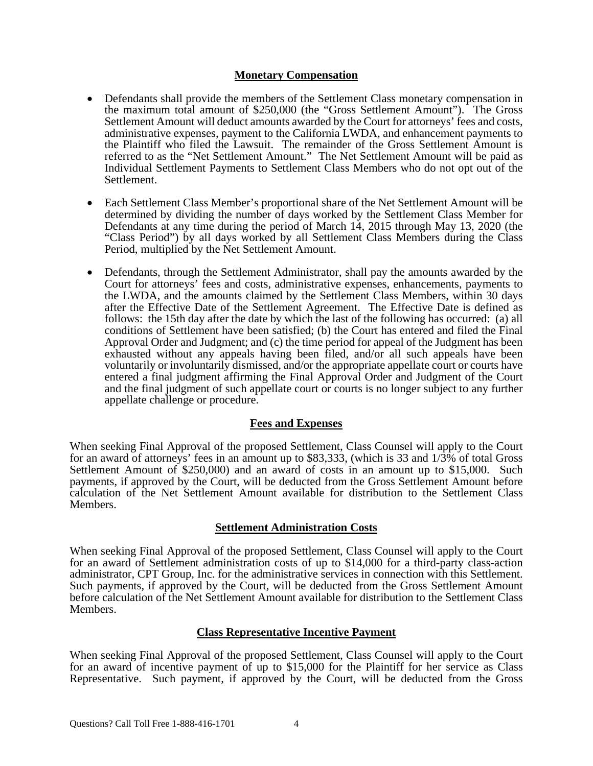### **Monetary Compensation**

- Defendants shall provide the members of the Settlement Class monetary compensation in the maximum total amount of \$250,000 (the "Gross Settlement Amount"). The Gross Settlement Amount will deduct amounts awarded by the Court for attorneys' fees and costs, administrative expenses, payment to the California LWDA, and enhancement payments to the Plaintiff who filed the Lawsuit. The remainder of the Gross Settlement Amount is referred to as the "Net Settlement Amount." The Net Settlement Amount will be paid as Individual Settlement Payments to Settlement Class Members who do not opt out of the Settlement.
- Each Settlement Class Member's proportional share of the Net Settlement Amount will be determined by dividing the number of days worked by the Settlement Class Member for Defendants at any time during the period of March 14, 2015 through May 13, 2020 (the "Class Period") by all days worked by all Settlement Class Members during the Class Period, multiplied by the Net Settlement Amount.
- Defendants, through the Settlement Administrator, shall pay the amounts awarded by the Court for attorneys' fees and costs, administrative expenses, enhancements, payments to the LWDA, and the amounts claimed by the Settlement Class Members, within 30 days after the Effective Date of the Settlement Agreement. The Effective Date is defined as follows: the 15th day after the date by which the last of the following has occurred: (a) all conditions of Settlement have been satisfied; (b) the Court has entered and filed the Final Approval Order and Judgment; and (c) the time period for appeal of the Judgment has been exhausted without any appeals having been filed, and/or all such appeals have been voluntarily or involuntarily dismissed, and/or the appropriate appellate court or courts have entered a final judgment affirming the Final Approval Order and Judgment of the Court and the final judgment of such appellate court or courts is no longer subject to any further appellate challenge or procedure.

## **Fees and Expenses**

When seeking Final Approval of the proposed Settlement, Class Counsel will apply to the Court for an award of attorneys' fees in an amount up to \$83,333, (which is 33 and 1/3% of total Gross Settlement Amount of \$250,000) and an award of costs in an amount up to \$15,000. Such payments, if approved by the Court, will be deducted from the Gross Settlement Amount before calculation of the Net Settlement Amount available for distribution to the Settlement Class Members.

## **Settlement Administration Costs**

When seeking Final Approval of the proposed Settlement, Class Counsel will apply to the Court for an award of Settlement administration costs of up to \$14,000 for a third-party class-action administrator, CPT Group, Inc. for the administrative services in connection with this Settlement. Such payments, if approved by the Court, will be deducted from the Gross Settlement Amount before calculation of the Net Settlement Amount available for distribution to the Settlement Class Members.

## **Class Representative Incentive Payment**

When seeking Final Approval of the proposed Settlement, Class Counsel will apply to the Court for an award of incentive payment of up to \$15,000 for the Plaintiff for her service as Class Representative. Such payment, if approved by the Court, will be deducted from the Gross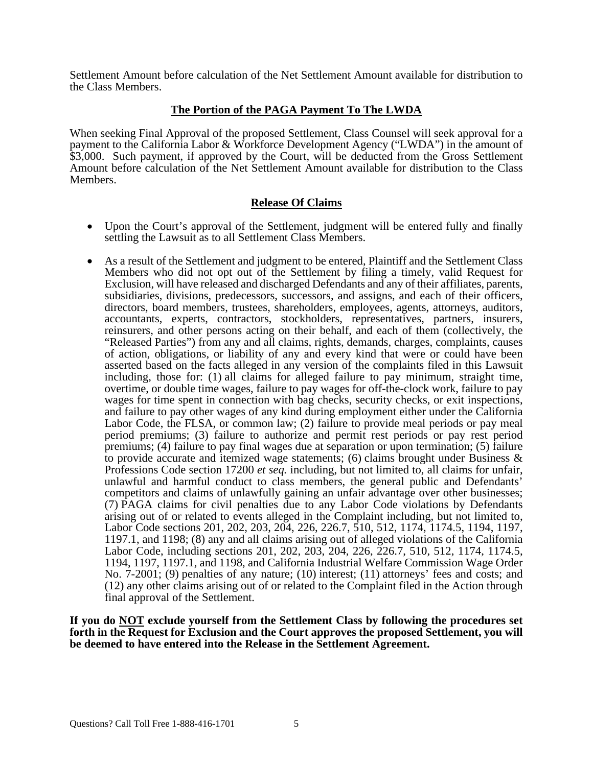Settlement Amount before calculation of the Net Settlement Amount available for distribution to the Class Members.

# **The Portion of the PAGA Payment To The LWDA**

When seeking Final Approval of the proposed Settlement, Class Counsel will seek approval for a payment to the California Labor & Workforce Development Agency ("LWDA") in the amount of \$3,000. Such payment, if approved by the Court, will be deducted from the Gross Settlement Amount before calculation of the Net Settlement Amount available for distribution to the Class Members.

## **Release Of Claims**

- Upon the Court's approval of the Settlement, judgment will be entered fully and finally settling the Lawsuit as to all Settlement Class Members.
- As a result of the Settlement and judgment to be entered, Plaintiff and the Settlement Class Members who did not opt out of the Settlement by filing a timely, valid Request for Exclusion, will have released and discharged Defendants and any of their affiliates, parents, subsidiaries, divisions, predecessors, successors, and assigns, and each of their officers, directors, board members, trustees, shareholders, employees, agents, attorneys, auditors, accountants, experts, contractors, stockholders, representatives, partners, insurers, reinsurers, and other persons acting on their behalf, and each of them (collectively, the "Released Parties") from any and all claims, rights, demands, charges, complaints, causes of action, obligations, or liability of any and every kind that were or could have been asserted based on the facts alleged in any version of the complaints filed in this Lawsuit including, those for: (1) all claims for alleged failure to pay minimum, straight time, overtime, or double time wages, failure to pay wages for off-the-clock work, failure to pay wages for time spent in connection with bag checks, security checks, or exit inspections, and failure to pay other wages of any kind during employment either under the California Labor Code, the FLSA, or common law; (2) failure to provide meal periods or pay meal period premiums; (3) failure to authorize and permit rest periods or pay rest period premiums; (4) failure to pay final wages due at separation or upon termination; (5) failure to provide accurate and itemized wage statements; (6) claims brought under Business  $\&$ Professions Code section 17200 *et seq.* including, but not limited to, all claims for unfair, unlawful and harmful conduct to class members, the general public and Defendants' competitors and claims of unlawfully gaining an unfair advantage over other businesses; (7) PAGA claims for civil penalties due to any Labor Code violations by Defendants arising out of or related to events alleged in the Complaint including, but not limited to, Labor Code sections 201, 202, 203, 204, 226, 226.7, 510, 512, 1174, 1174.5, 1194, 1197, 1197.1, and 1198; (8) any and all claims arising out of alleged violations of the California Labor Code, including sections 201, 202, 203, 204, 226, 226.7, 510, 512, 1174, 1174.5, 1194, 1197, 1197.1, and 1198, and California Industrial Welfare Commission Wage Order No. 7-2001; (9) penalties of any nature; (10) interest; (11) attorneys' fees and costs; and (12) any other claims arising out of or related to the Complaint filed in the Action through final approval of the Settlement.

**If you do NOT exclude yourself from the Settlement Class by following the procedures set forth in the Request for Exclusion and the Court approves the proposed Settlement, you will be deemed to have entered into the Release in the Settlement Agreement.**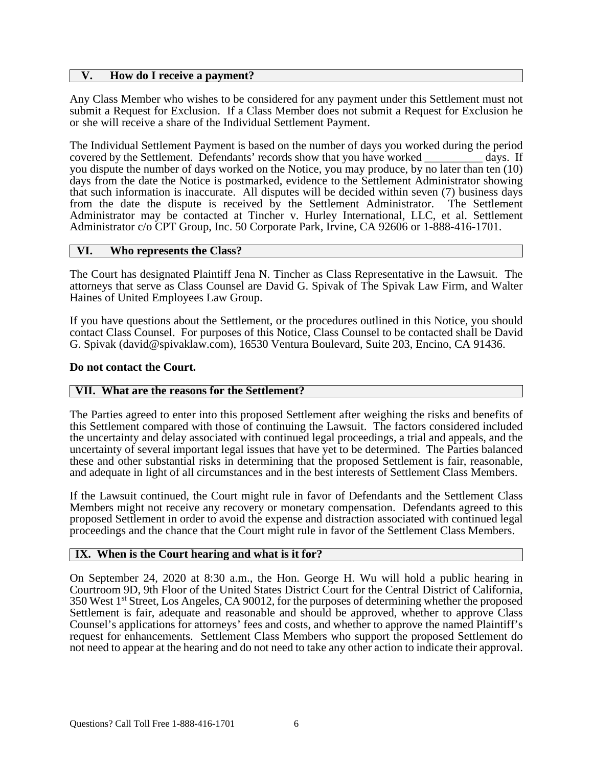### **V. How do I receive a payment?**

Any Class Member who wishes to be considered for any payment under this Settlement must not submit a Request for Exclusion. If a Class Member does not submit a Request for Exclusion he or she will receive a share of the Individual Settlement Payment.

The Individual Settlement Payment is based on the number of days you worked during the period covered by the Settlement. Defendants' records show that you have worked days. If you dispute the number of days worked on the Notice, you may produce, by no later than ten (10) days from the date the Notice is postmarked, evidence to the Settlement Administrator showing that such information is inaccurate. All disputes will be decided within seven (7) business days from the date the dispute is received by the Settlement Administrator. The Settlement from the date the dispute is received by the Settlement Administrator. Administrator may be contacted at Tincher v. Hurley International, LLC, et al. Settlement Administrator c/o CPT Group, Inc. 50 Corporate Park, Irvine, CA 92606 or 1-888-416-1701.

### **VI. Who represents the Class?**

The Court has designated Plaintiff Jena N. Tincher as Class Representative in the Lawsuit. The attorneys that serve as Class Counsel are David G. Spivak of The Spivak Law Firm, and Walter Haines of United Employees Law Group.

If you have questions about the Settlement, or the procedures outlined in this Notice, you should contact Class Counsel. For purposes of this Notice, Class Counsel to be contacted shall be David G. Spivak (david@spivaklaw.com), 16530 Ventura Boulevard, Suite 203, Encino, CA 91436.

### **Do not contact the Court.**

## **VII. What are the reasons for the Settlement?**

The Parties agreed to enter into this proposed Settlement after weighing the risks and benefits of this Settlement compared with those of continuing the Lawsuit. The factors considered included the uncertainty and delay associated with continued legal proceedings, a trial and appeals, and the uncertainty of several important legal issues that have yet to be determined. The Parties balanced these and other substantial risks in determining that the proposed Settlement is fair, reasonable, and adequate in light of all circumstances and in the best interests of Settlement Class Members.

If the Lawsuit continued, the Court might rule in favor of Defendants and the Settlement Class Members might not receive any recovery or monetary compensation. Defendants agreed to this proposed Settlement in order to avoid the expense and distraction associated with continued legal proceedings and the chance that the Court might rule in favor of the Settlement Class Members.

## **IX. When is the Court hearing and what is it for?**

On September 24, 2020 at 8:30 a.m., the Hon. George H. Wu will hold a public hearing in Courtroom 9D, 9th Floor of the United States District Court for the Central District of California, 350 West 1st Street, Los Angeles, CA 90012, for the purposes of determining whether the proposed Settlement is fair, adequate and reasonable and should be approved, whether to approve Class Counsel's applications for attorneys' fees and costs, and whether to approve the named Plaintiff's request for enhancements. Settlement Class Members who support the proposed Settlement do not need to appear at the hearing and do not need to take any other action to indicate their approval.